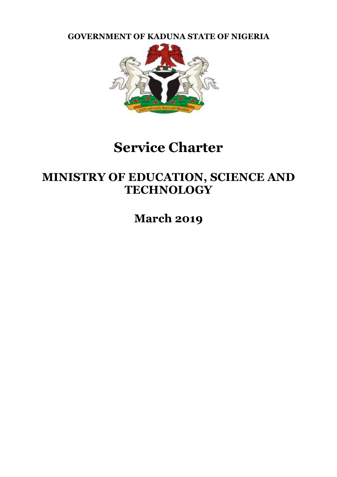**GOVERNMENT OF KADUNA STATE OF NIGERIA**



# **Service Charter**

## **MINISTRY OF EDUCATION, SCIENCE AND TECHNOLOGY**

**March 2019**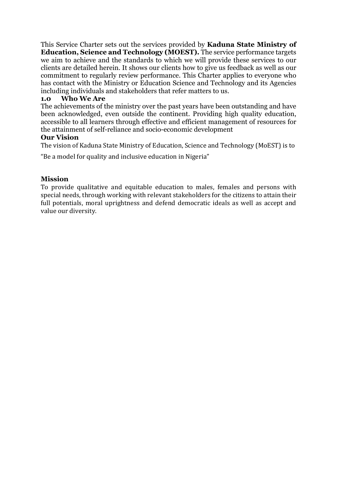This Service Charter sets out the services provided by **Kaduna State Ministry of Education, Science and Technology (MOEST).** The service performance targets we aim to achieve and the standards to which we will provide these services to our clients are detailed herein. It shows our clients how to give us feedback as well as our commitment to regularly review performance. This Charter applies to everyone who has contact with the Ministry or Education Science and Technology and its Agencies including individuals and stakeholders that refer matters to us.

## **1.0 Who We Are**

The achievements of the ministry over the past years have been outstanding and have been acknowledged, even outside the continent. Providing high quality education, accessible to all learners through effective and efficient management of resources for the attainment of self-reliance and socio-economic development

## **Our Vision**

The vision of Kaduna State Ministry of Education, Science and Technology (MoEST) is to

"Be a model for quality and inclusive education in Nigeria"

## **Mission**

To provide qualitative and equitable education to males, females and persons with special needs, through working with relevant stakeholders for the citizens to attain their full potentials, moral uprightness and defend democratic ideals as well as accept and value our diversity.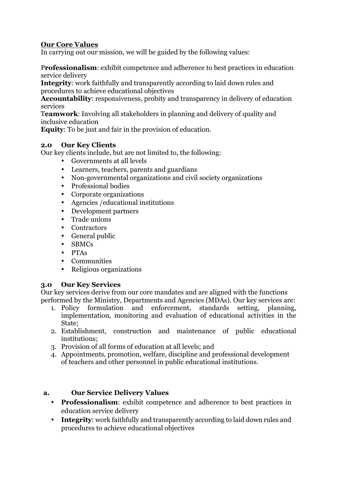## **Our Core Values**

In carrying out our mission, we will be guided by the following values:

P**rofessionalism**: exhibit competence and adherence to best practices in education service delivery

**Integrity**: work faithfully and transparently according to laid down rules and procedures to achieve educational objectives

**Accountability**: responsiveness, probity and transparency in delivery of education services

T**eamwork**: Involving all stakeholders in planning and delivery of quality and inclusive education

**Equity**: To be just and fair in the provision of education.

## **2.0 Our Key Clients**

Our key clients include, but are not limited to, the following:

- Governments at all levels
- Learners, teachers, parents and guardians
- Non-governmental organizations and civil society organizations
- Professional bodies
- Corporate organizations
- Agencies /educational institutions
- Development partners<br>• Trade unions
- Trade unions
- Contractors
- General public
- SBMCs
- PTAs
- Communities
- Religious organizations

## **3.0 Our Key Services**

Our key services derive from our core mandates and are aligned with the functions performed by the Ministry, Departments and Agencies (MDAs). Our key services are:

- 1. Policy formulation and enforcement, standards setting, planning, implementation, monitoring and evaluation of educational activities in the State;
- 2. Establishment, construction and maintenance of public educational institutions;
- 3. Provision of all forms of education at all levels; and
- 4. Appointments, promotion, welfare, discipline and professional development of teachers and other personnel in public educational institutions.

## **a. Our Service Delivery Values**

- **Professionalism**: exhibit competence and adherence to best practices in education service delivery
- **Integrity**: work faithfully and transparently according to laid down rules and procedures to achieve educational objectives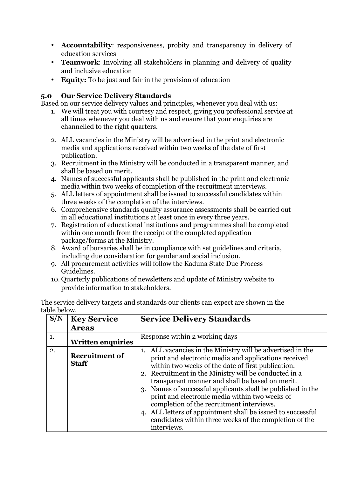- **Accountability**: responsiveness, probity and transparency in delivery of education services
- **Teamwork**: Involving all stakeholders in planning and delivery of quality and inclusive education
- **Equity:** To be just and fair in the provision of education

## **5.0 Our Service Delivery Standards**

Based on our service delivery values and principles, whenever you deal with us:

- 1. We will treat you with courtesy and respect, giving you professional service at all times whenever you deal with us and ensure that your enquiries are channelled to the right quarters.
- 2. ALL vacancies in the Ministry will be advertised in the print and electronic media and applications received within two weeks of the date of first publication.
- 3. Recruitment in the Ministry will be conducted in a transparent manner, and shall be based on merit.
- 4. Names of successful applicants shall be published in the print and electronic media within two weeks of completion of the recruitment interviews.
- 5. ALL letters of appointment shall be issued to successful candidates within three weeks of the completion of the interviews.
- 6. Comprehensive standards quality assurance assessments shall be carried out in all educational institutions at least once in every three years.
- 7. Registration of educational institutions and programmes shall be completed within one month from the receipt of the completed application package/forms at the Ministry.
- 8. Award of bursaries shall be in compliance with set guidelines and criteria, including due consideration for gender and social inclusion.
- 9. All procurement activities will follow the Kaduna State Due Process Guidelines.
- 10. Quarterly publications of newsletters and update of Ministry website to provide information to stakeholders.

The service delivery targets and standards our clients can expect are shown in the table below.

| S/N | <b>Key Service</b><br><b>Areas</b>    | <b>Service Delivery Standards</b>                                                                                                                                                                                                                                                                                                                                                                                                                                                                                                                                                          |
|-----|---------------------------------------|--------------------------------------------------------------------------------------------------------------------------------------------------------------------------------------------------------------------------------------------------------------------------------------------------------------------------------------------------------------------------------------------------------------------------------------------------------------------------------------------------------------------------------------------------------------------------------------------|
| 1.  | <b>Written enquiries</b>              | Response within 2 working days                                                                                                                                                                                                                                                                                                                                                                                                                                                                                                                                                             |
| 2.  | <b>Recruitment of</b><br><b>Staff</b> | 1. ALL vacancies in the Ministry will be advertised in the<br>print and electronic media and applications received<br>within two weeks of the date of first publication.<br>2. Recruitment in the Ministry will be conducted in a<br>transparent manner and shall be based on merit.<br>3. Names of successful applicants shall be published in the<br>print and electronic media within two weeks of<br>completion of the recruitment interviews.<br>4. ALL letters of appointment shall be issued to successful<br>candidates within three weeks of the completion of the<br>interviews. |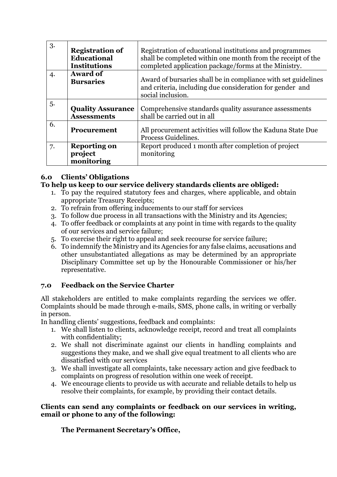| 3.             | <b>Registration of</b><br><b>Educational</b><br><b>Institutions</b> | Registration of educational institutions and programmes<br>shall be completed within one month from the receipt of the<br>completed application package/forms at the Ministry. |
|----------------|---------------------------------------------------------------------|--------------------------------------------------------------------------------------------------------------------------------------------------------------------------------|
| $\overline{4}$ | <b>Award of</b><br><b>Bursaries</b>                                 | Award of bursaries shall be in compliance with set guidelines<br>and criteria, including due consideration for gender and<br>social inclusion.                                 |
| 5.             | <b>Quality Assurance</b><br><b>Assessments</b>                      | Comprehensive standards quality assurance assessments<br>shall be carried out in all                                                                                           |
| 6.             | <b>Procurement</b>                                                  | All procurement activities will follow the Kaduna State Due<br>Process Guidelines.                                                                                             |
| 7.             | <b>Reporting on</b><br>project<br>monitoring                        | Report produced 1 month after completion of project<br>monitoring                                                                                                              |

## **6.0 Clients' Obligations**

## **To help us keep to our service delivery standards clients are obliged:**

- 1. To pay the required statutory fees and charges, where applicable, and obtain appropriate Treasury Receipts;
- 2. To refrain from offering inducements to our staff for services
- 3. To follow due process in all transactions with the Ministry and its Agencies;
- 4. To offer feedback or complaints at any point in time with regards to the quality of our services and service failure;
- 5. To exercise their right to appeal and seek recourse for service failure;
- 6. To indemnify the Ministry and its Agencies for any false claims, accusations and other unsubstantiated allegations as may be determined by an appropriate Disciplinary Committee set up by the Honourable Commissioner or his/her representative.

## **7.0 Feedback on the Service Charter**

All stakeholders are entitled to make complaints regarding the services we offer. Complaints should be made through e-mails, SMS, phone calls, in writing or verbally in person.

In handling clients' suggestions, feedback and complaints:

- 1. We shall listen to clients, acknowledge receipt, record and treat all complaints with confidentiality;
- 2. We shall not discriminate against our clients in handling complaints and suggestions they make, and we shall give equal treatment to all clients who are dissatisfied with our services
- 3. We shall investigate all complaints, take necessary action and give feedback to complaints on progress of resolution within one week of receipt.
- 4. We encourage clients to provide us with accurate and reliable details to help us resolve their complaints, for example, by providing their contact details.

## **Clients can send any complaints or feedback on our services in writing, email or phone to any of the following:**

## **The Permanent Secretary's Office,**